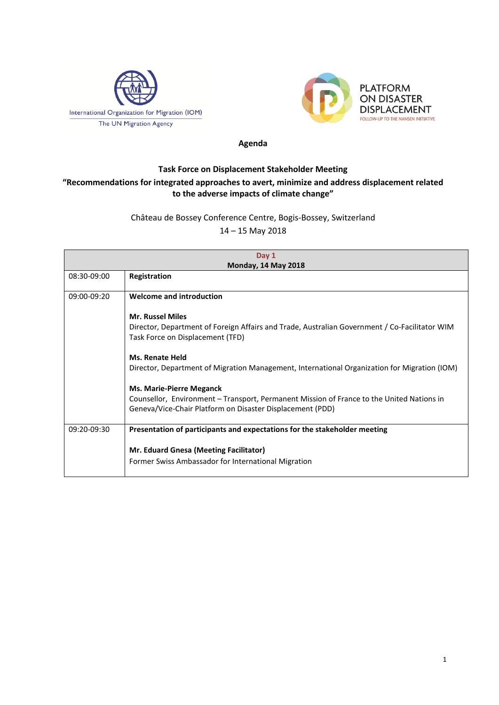



## **Agenda**

## **Task Force on Displacement Stakeholder Meeting "Recommendations for integrated approaches to avert, minimize and address displacement related to the adverse impacts of climate change"**

## Château de Bossey Conference Centre, Bogis-Bossey, Switzerland 14 – 15 May 2018

| Day 1                      |                                                                                               |  |
|----------------------------|-----------------------------------------------------------------------------------------------|--|
| <b>Monday, 14 May 2018</b> |                                                                                               |  |
| 08:30-09:00                | Registration                                                                                  |  |
|                            |                                                                                               |  |
| 09:00-09:20                | <b>Welcome and introduction</b>                                                               |  |
|                            |                                                                                               |  |
|                            | <b>Mr. Russel Miles</b>                                                                       |  |
|                            | Director, Department of Foreign Affairs and Trade, Australian Government / Co-Facilitator WIM |  |
|                            | Task Force on Displacement (TFD)                                                              |  |
|                            |                                                                                               |  |
|                            | <b>Ms. Renate Held</b>                                                                        |  |
|                            | Director, Department of Migration Management, International Organization for Migration (IOM)  |  |
|                            |                                                                                               |  |
|                            | <b>Ms. Marie-Pierre Meganck</b>                                                               |  |
|                            | Counsellor, Environment – Transport, Permanent Mission of France to the United Nations in     |  |
|                            | Geneva/Vice-Chair Platform on Disaster Displacement (PDD)                                     |  |
|                            |                                                                                               |  |
| 09:20-09:30                | Presentation of participants and expectations for the stakeholder meeting                     |  |
|                            |                                                                                               |  |
|                            | <b>Mr. Eduard Gnesa (Meeting Facilitator)</b>                                                 |  |
|                            | Former Swiss Ambassador for International Migration                                           |  |
|                            |                                                                                               |  |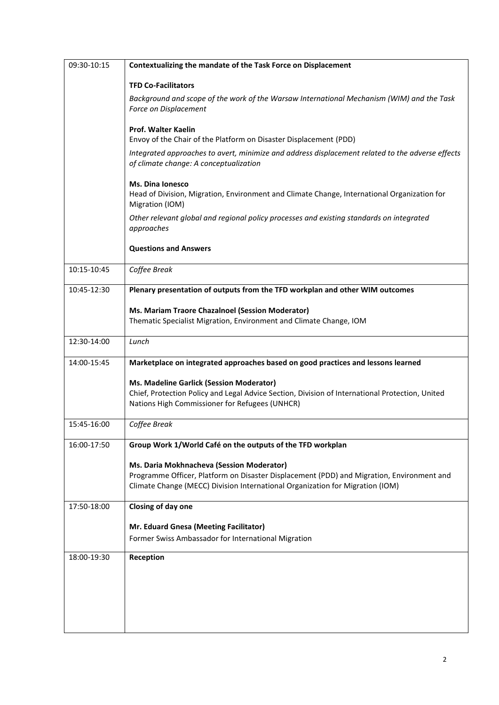| 09:30-10:15 | Contextualizing the mandate of the Task Force on Displacement                                                                                                                                                           |
|-------------|-------------------------------------------------------------------------------------------------------------------------------------------------------------------------------------------------------------------------|
|             | <b>TFD Co-Facilitators</b>                                                                                                                                                                                              |
|             | Background and scope of the work of the Warsaw International Mechanism (WIM) and the Task<br>Force on Displacement                                                                                                      |
|             | <b>Prof. Walter Kaelin</b><br>Envoy of the Chair of the Platform on Disaster Displacement (PDD)                                                                                                                         |
|             | Integrated approaches to avert, minimize and address displacement related to the adverse effects<br>of climate change: A conceptualization                                                                              |
|             | <b>Ms. Dina Ionesco</b><br>Head of Division, Migration, Environment and Climate Change, International Organization for<br>Migration (IOM)                                                                               |
|             | Other relevant global and regional policy processes and existing standards on integrated<br>approaches                                                                                                                  |
|             | <b>Questions and Answers</b>                                                                                                                                                                                            |
| 10:15-10:45 | Coffee Break                                                                                                                                                                                                            |
| 10:45-12:30 | Plenary presentation of outputs from the TFD workplan and other WIM outcomes                                                                                                                                            |
|             | Ms. Mariam Traore Chazalnoel (Session Moderator)<br>Thematic Specialist Migration, Environment and Climate Change, IOM                                                                                                  |
| 12:30-14:00 | Lunch                                                                                                                                                                                                                   |
| 14:00-15:45 | Marketplace on integrated approaches based on good practices and lessons learned                                                                                                                                        |
|             | Ms. Madeline Garlick (Session Moderator)<br>Chief, Protection Policy and Legal Advice Section, Division of International Protection, United<br>Nations High Commissioner for Refugees (UNHCR)                           |
| 15:45-16:00 | Coffee Break                                                                                                                                                                                                            |
| 16:00-17:50 | Group Work 1/World Café on the outputs of the TFD workplan                                                                                                                                                              |
|             | Ms. Daria Mokhnacheva (Session Moderator)<br>Programme Officer, Platform on Disaster Displacement (PDD) and Migration, Environment and<br>Climate Change (MECC) Division International Organization for Migration (IOM) |
| 17:50-18:00 | Closing of day one                                                                                                                                                                                                      |
|             | Mr. Eduard Gnesa (Meeting Facilitator)<br>Former Swiss Ambassador for International Migration                                                                                                                           |
| 18:00-19:30 | Reception                                                                                                                                                                                                               |
|             |                                                                                                                                                                                                                         |
|             |                                                                                                                                                                                                                         |
|             |                                                                                                                                                                                                                         |
|             |                                                                                                                                                                                                                         |